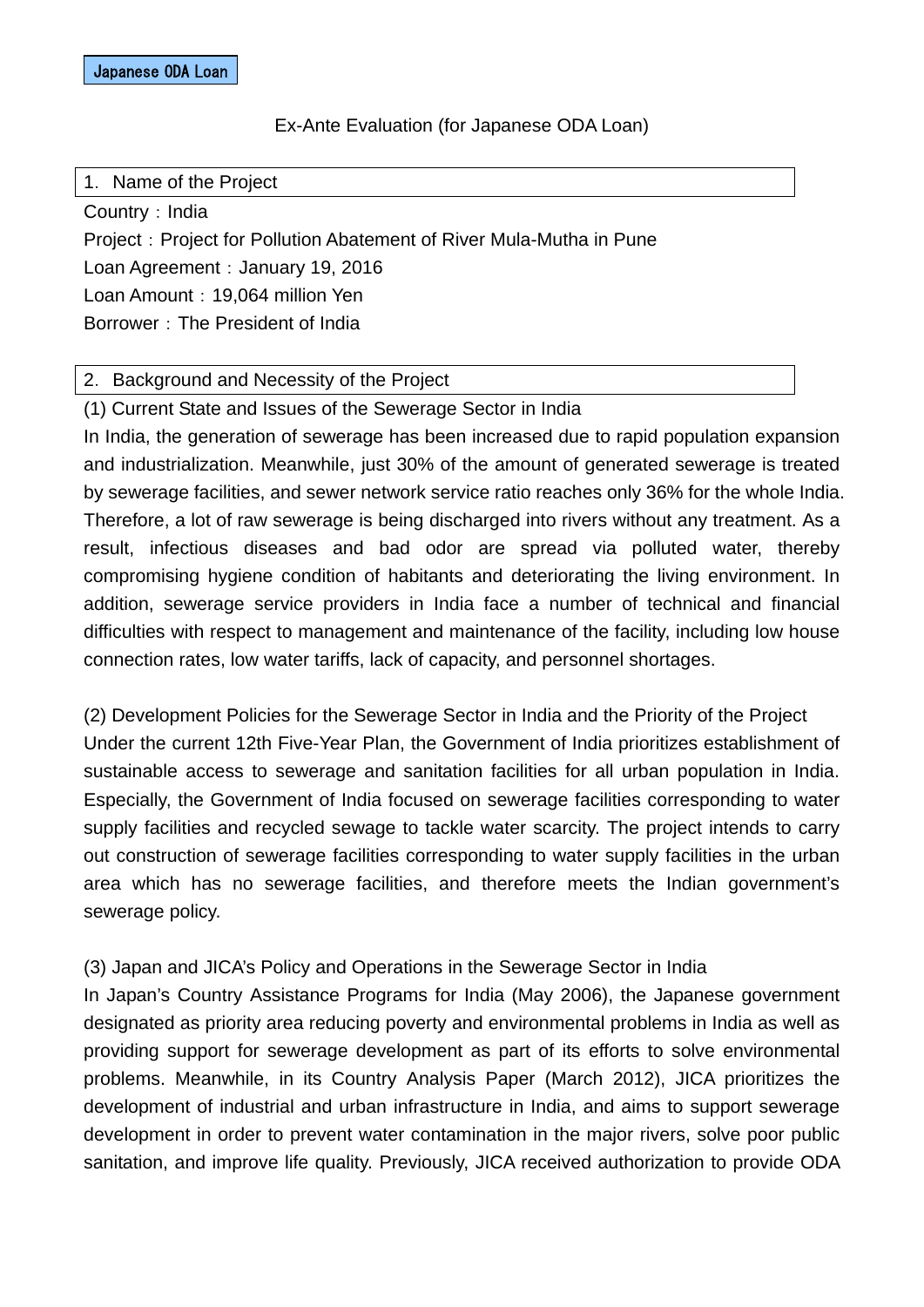#### Ex-Ante Evaluation (for Japanese ODA Loan)

1. Name of the Project

Country: India Project: Project for Pollution Abatement of River Mula-Mutha in Pune Loan Agreement: January 19, 2016 Loan Amount: 19,064 million Yen Borrower: The President of India

#### 2. Background and Necessity of the Project

(1) Current State and Issues of the Sewerage Sector in India

In India, the generation of sewerage has been increased due to rapid population expansion and industrialization. Meanwhile, just 30% of the amount of generated sewerage is treated by sewerage facilities, and sewer network service ratio reaches only 36% for the whole India. Therefore, a lot of raw sewerage is being discharged into rivers without any treatment. As a result, infectious diseases and bad odor are spread via polluted water, thereby compromising hygiene condition of habitants and deteriorating the living environment. In addition, sewerage service providers in India face a number of technical and financial difficulties with respect to management and maintenance of the facility, including low house connection rates, low water tariffs, lack of capacity, and personnel shortages.

(2) Development Policies for the Sewerage Sector in India and the Priority of the Project Under the current 12th Five-Year Plan, the Government of India prioritizes establishment of sustainable access to sewerage and sanitation facilities for all urban population in India. Especially, the Government of India focused on sewerage facilities corresponding to water supply facilities and recycled sewage to tackle water scarcity. The project intends to carry out construction of sewerage facilities corresponding to water supply facilities in the urban area which has no sewerage facilities, and therefore meets the Indian government's sewerage policy.

## (3) Japan and JICA's Policy and Operations in the Sewerage Sector in India

In Japan's Country Assistance Programs for India (May 2006), the Japanese government designated as priority area reducing poverty and environmental problems in India as well as providing support for sewerage development as part of its efforts to solve environmental problems. Meanwhile, in its Country Analysis Paper (March 2012), JICA prioritizes the development of industrial and urban infrastructure in India, and aims to support sewerage development in order to prevent water contamination in the major rivers, solve poor public sanitation, and improve life quality. Previously, JICA received authorization to provide ODA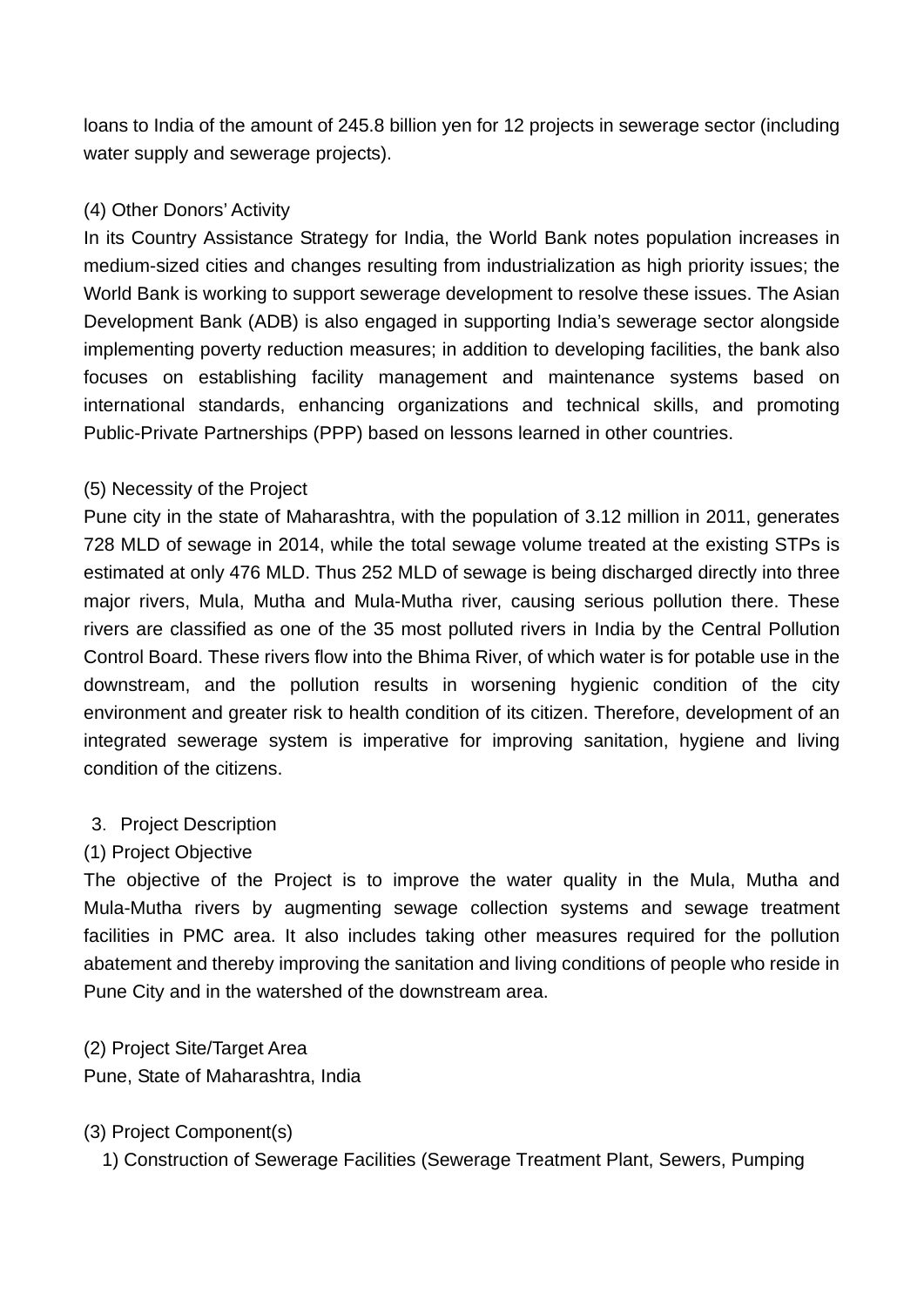loans to India of the amount of 245.8 billion yen for 12 projects in sewerage sector (including water supply and sewerage projects).

# (4) Other Donors' Activity

In its Country Assistance Strategy for India, the World Bank notes population increases in medium-sized cities and changes resulting from industrialization as high priority issues; the World Bank is working to support sewerage development to resolve these issues. The Asian Development Bank (ADB) is also engaged in supporting India's sewerage sector alongside implementing poverty reduction measures; in addition to developing facilities, the bank also focuses on establishing facility management and maintenance systems based on international standards, enhancing organizations and technical skills, and promoting Public-Private Partnerships (PPP) based on lessons learned in other countries.

# (5) Necessity of the Project

Pune city in the state of Maharashtra, with the population of 3.12 million in 2011, generates 728 MLD of sewage in 2014, while the total sewage volume treated at the existing STPs is estimated at only 476 MLD. Thus 252 MLD of sewage is being discharged directly into three major rivers, Mula, Mutha and Mula-Mutha river, causing serious pollution there. These rivers are classified as one of the 35 most polluted rivers in India by the Central Pollution Control Board. These rivers flow into the Bhima River, of which water is for potable use in the downstream, and the pollution results in worsening hygienic condition of the city environment and greater risk to health condition of its citizen. Therefore, development of an integrated sewerage system is imperative for improving sanitation, hygiene and living condition of the citizens.

## 3.Project Description

## (1) Project Objective

The objective of the Project is to improve the water quality in the Mula, Mutha and Mula-Mutha rivers by augmenting sewage collection systems and sewage treatment facilities in PMC area. It also includes taking other measures required for the pollution abatement and thereby improving the sanitation and living conditions of people who reside in Pune City and in the watershed of the downstream area.

# (2) Project Site/Target Area

Pune, State of Maharashtra, India

## (3) Project Component(s)

1) Construction of Sewerage Facilities (Sewerage Treatment Plant, Sewers, Pumping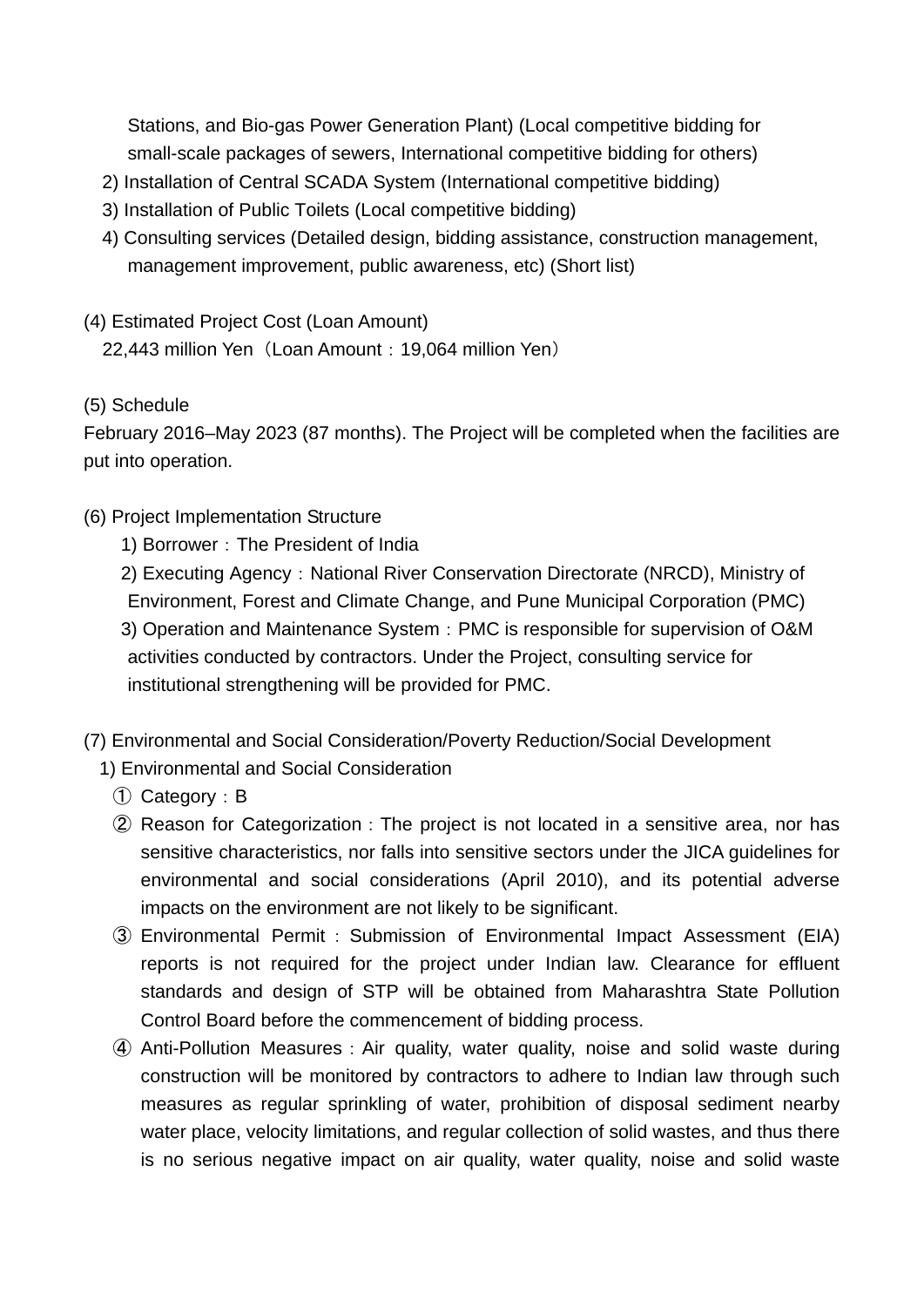Stations, and Bio-gas Power Generation Plant) (Local competitive bidding for small-scale packages of sewers, International competitive bidding for others)

- 2) Installation of Central SCADA System (International competitive bidding)
- 3) Installation of Public Toilets (Local competitive bidding)
- 4) Consulting services (Detailed design, bidding assistance, construction management, management improvement, public awareness, etc) (Short list)
- (4) Estimated Project Cost (Loan Amount) 22,443 million Yen (Loan Amount: 19,064 million Yen)
- (5) Schedule

February 2016–May 2023 (87 months). The Project will be completed when the facilities are put into operation.

- (6) Project Implementation Structure
	- 1) Borrower: The President of India
	- 2) Executing Agency: National River Conservation Directorate (NRCD), Ministry of Environment, Forest and Climate Change, and Pune Municipal Corporation (PMC)
	- 3) Operation and Maintenance System: PMC is responsible for supervision of O&M activities conducted by contractors. Under the Project, consulting service for institutional strengthening will be provided for PMC.
- (7) Environmental and Social Consideration/Poverty Reduction/Social Development
	- 1) Environmental and Social Consideration
		- ① Category:B
		- ② Reason for Categorization:The project is not located in a sensitive area, nor has sensitive characteristics, nor falls into sensitive sectors under the JICA guidelines for environmental and social considerations (April 2010), and its potential adverse impacts on the environment are not likely to be significant.
		- ③ Environmental Permit:Submission of Environmental Impact Assessment (EIA) reports is not required for the project under Indian law. Clearance for effluent standards and design of STP will be obtained from Maharashtra State Pollution Control Board before the commencement of bidding process.
		- ④ Anti-Pollution Measures:Air quality, water quality, noise and solid waste during construction will be monitored by contractors to adhere to Indian law through such measures as regular sprinkling of water, prohibition of disposal sediment nearby water place, velocity limitations, and regular collection of solid wastes, and thus there is no serious negative impact on air quality, water quality, noise and solid waste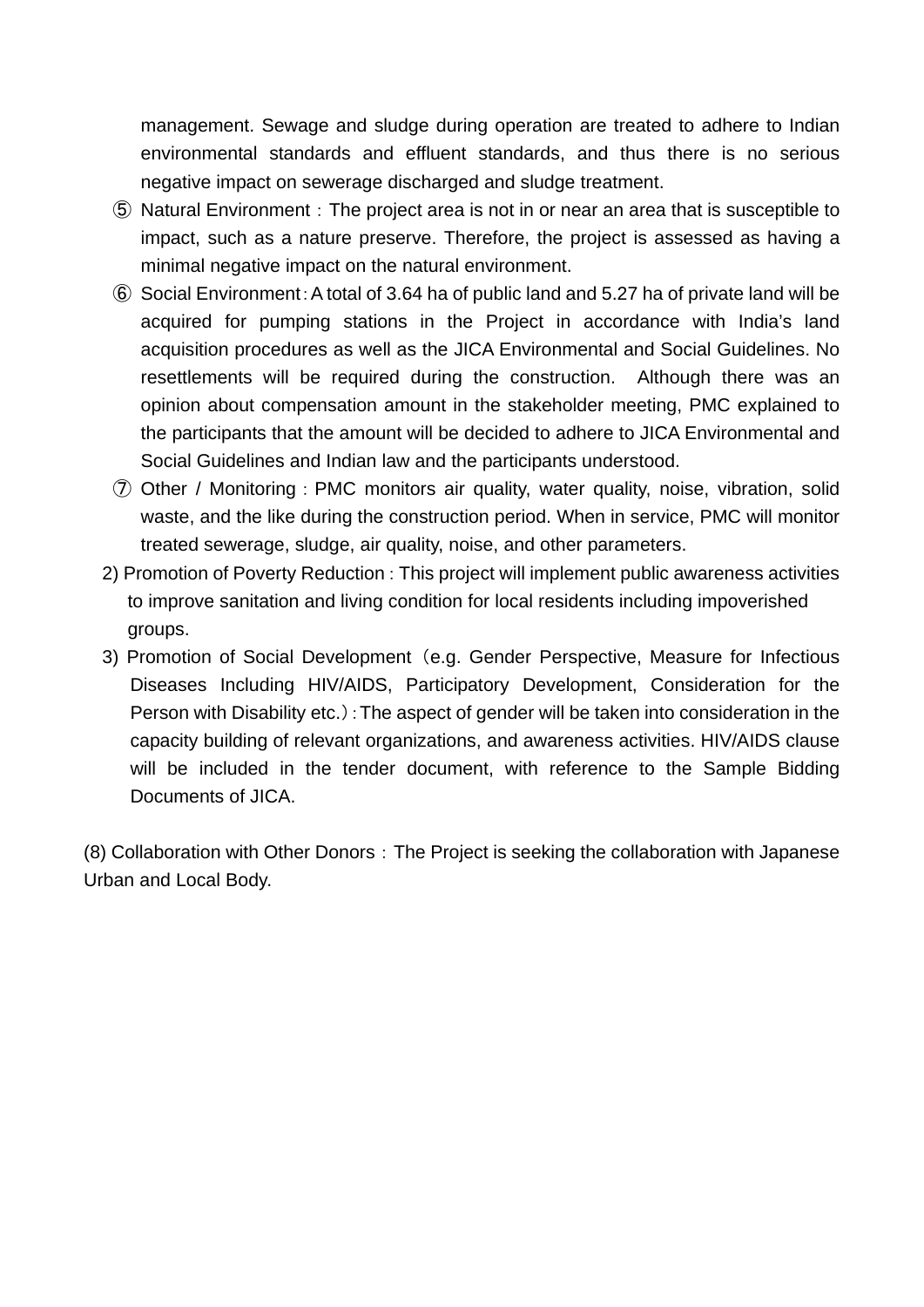management. Sewage and sludge during operation are treated to adhere to Indian environmental standards and effluent standards, and thus there is no serious negative impact on sewerage discharged and sludge treatment.

- ⑤ Natural Environment:The project area is not in or near an area that is susceptible to impact, such as a nature preserve. Therefore, the project is assessed as having a minimal negative impact on the natural environment.
- ⑥ Social Environment:A total of 3.64 ha of public land and 5.27 ha of private land will be acquired for pumping stations in the Project in accordance with India's land acquisition procedures as well as the JICA Environmental and Social Guidelines. No resettlements will be required during the construction. Although there was an opinion about compensation amount in the stakeholder meeting, PMC explained to the participants that the amount will be decided to adhere to JICA Environmental and Social Guidelines and Indian law and the participants understood.
- ⑦ Other / Monitoring:PMC monitors air quality, water quality, noise, vibration, solid waste, and the like during the construction period. When in service, PMC will monitor treated sewerage, sludge, air quality, noise, and other parameters.
- 2) Promotion of Poverty Reduction: This project will implement public awareness activities to improve sanitation and living condition for local residents including impoverished groups.
- 3) Promotion of Social Development (e.g. Gender Perspective, Measure for Infectious Diseases Including HIV/AIDS, Participatory Development, Consideration for the Person with Disability etc.): The aspect of gender will be taken into consideration in the capacity building of relevant organizations, and awareness activities. HIV/AIDS clause will be included in the tender document, with reference to the Sample Bidding Documents of JICA.

(8) Collaboration with Other Donors:The Project is seeking the collaboration with Japanese Urban and Local Body.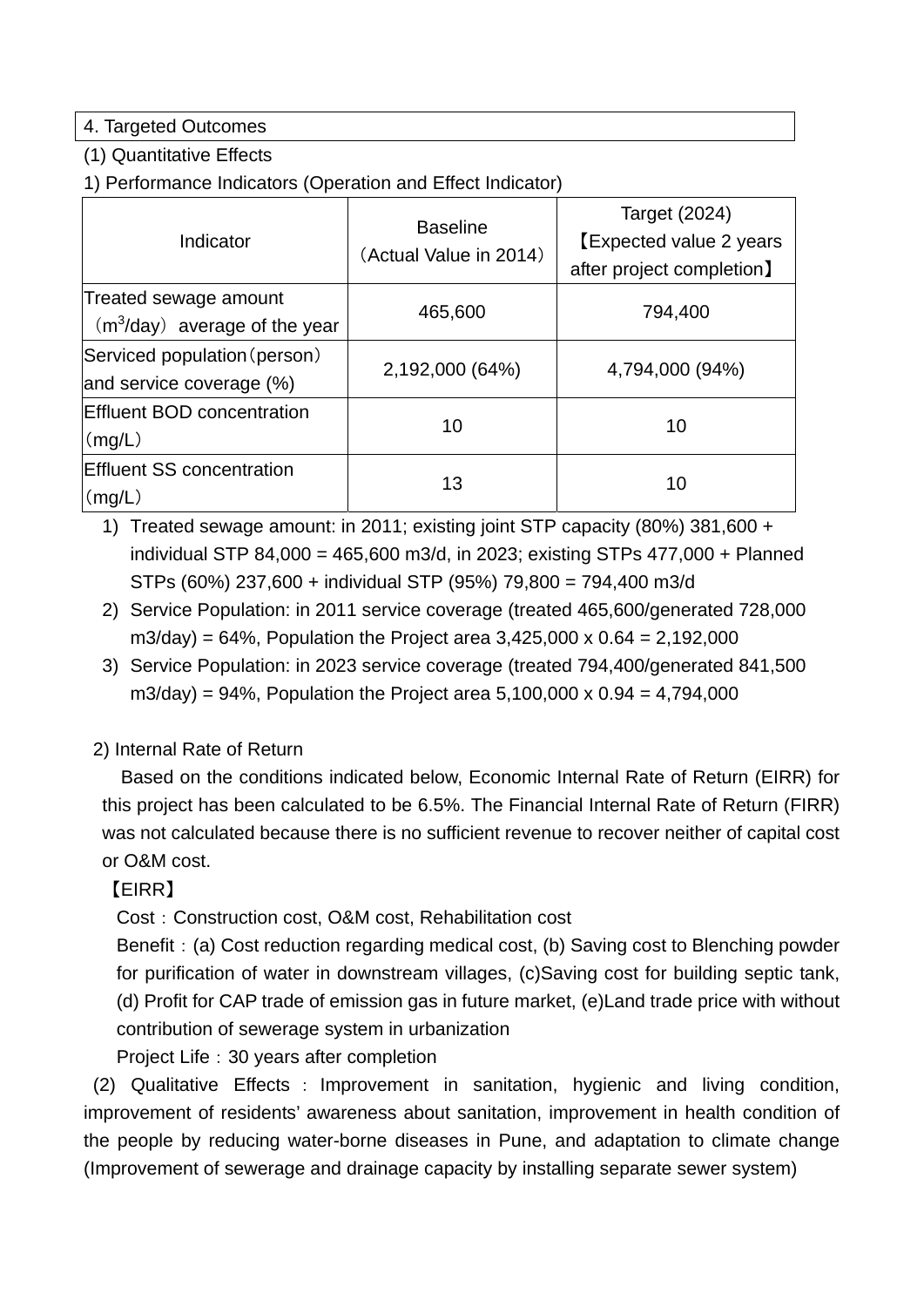## 4. Targeted Outcomes

#### (1) Quantitative Effects

1) Performance Indicators (Operation and Effect Indicator)

| Indicator                                                | <b>Baseline</b><br>(Actual Value in 2014) | <b>Target (2024)</b><br><b>[Expected value 2 years</b><br>after project completion] |
|----------------------------------------------------------|-------------------------------------------|-------------------------------------------------------------------------------------|
| Treated sewage amount<br>$(m3/day)$ average of the year  | 465,600                                   | 794,400                                                                             |
| Serviced population (person)<br>and service coverage (%) | 2,192,000 (64%)                           | 4,794,000 (94%)                                                                     |
| <b>Effluent BOD concentration</b><br>(mg/L)              | 10                                        | 10                                                                                  |
| <b>Effluent SS concentration</b><br>(mq/L)               | 13                                        | 10                                                                                  |

1) Treated sewage amount: in 2011; existing joint STP capacity (80%) 381,600 + individual STP 84,000 = 465,600 m3/d, in 2023; existing STPs 477,000 + Planned STPs (60%) 237,600 + individual STP (95%) 79,800 = 794,400 m3/d

- 2) Service Population: in 2011 service coverage (treated 465,600/generated 728,000 m3/day) =  $64\%$ , Population the Project area 3,425,000 x 0.64 = 2,192,000
- 3) Service Population: in 2023 service coverage (treated 794,400/generated 841,500 m3/day) = 94%, Population the Project area  $5,100,000 \times 0.94 = 4,794,000$

## 2) Internal Rate of Return

Based on the conditions indicated below, Economic Internal Rate of Return (EIRR) for this project has been calculated to be 6.5%. The Financial Internal Rate of Return (FIRR) was not calculated because there is no sufficient revenue to recover neither of capital cost or O&M cost.

# 【EIRR】

Cost: Construction cost, O&M cost, Rehabilitation cost

Benefit: (a) Cost reduction regarding medical cost, (b) Saving cost to Blenching powder for purification of water in downstream villages, (c)Saving cost for building septic tank, (d) Profit for CAP trade of emission gas in future market, (e)Land trade price with without contribution of sewerage system in urbanization

Project Life: 30 years after completion

 (2) Qualitative Effects : Improvement in sanitation, hygienic and living condition, improvement of residents' awareness about sanitation, improvement in health condition of the people by reducing water-borne diseases in Pune, and adaptation to climate change (Improvement of sewerage and drainage capacity by installing separate sewer system)